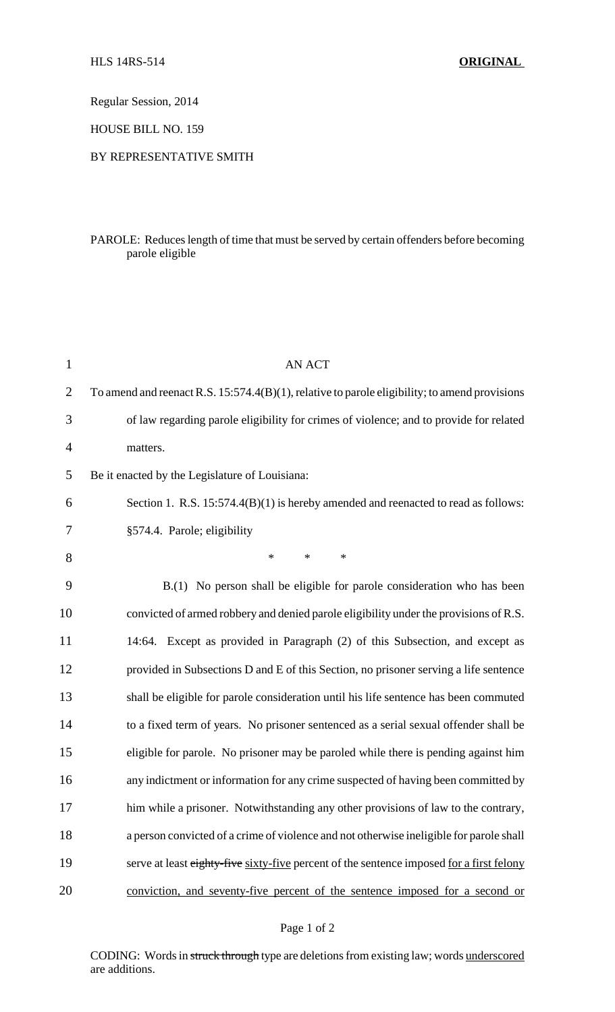Regular Session, 2014

HOUSE BILL NO. 159

## BY REPRESENTATIVE SMITH

# PAROLE: Reduces length of time that must be served by certain offenders before becoming parole eligible

| $\mathbf{1}$ | <b>AN ACT</b>                                                                                 |
|--------------|-----------------------------------------------------------------------------------------------|
| 2            | To amend and reenact R.S. 15:574.4(B)(1), relative to parole eligibility; to amend provisions |
| 3            | of law regarding parole eligibility for crimes of violence; and to provide for related        |
| 4            | matters.                                                                                      |
| 5            | Be it enacted by the Legislature of Louisiana:                                                |
| 6            | Section 1. R.S. 15:574.4(B)(1) is hereby amended and reenacted to read as follows:            |
| 7            | §574.4. Parole; eligibility                                                                   |
| 8            | $\ast$<br>$\ast$<br>*                                                                         |
| 9            | B.(1) No person shall be eligible for parole consideration who has been                       |
| 10           | convicted of armed robbery and denied parole eligibility under the provisions of R.S.         |
| 11           | 14:64. Except as provided in Paragraph (2) of this Subsection, and except as                  |
| 12           | provided in Subsections D and E of this Section, no prisoner serving a life sentence          |
| 13           | shall be eligible for parole consideration until his life sentence has been commuted          |
| 14           | to a fixed term of years. No prisoner sentenced as a serial sexual offender shall be          |
| 15           | eligible for parole. No prisoner may be paroled while there is pending against him            |
| 16           | any indictment or information for any crime suspected of having been committed by             |
| 17           | him while a prisoner. Notwithstanding any other provisions of law to the contrary,            |
| 18           | a person convicted of a crime of violence and not otherwise ineligible for parole shall       |
| 19           | serve at least eighty-five sixty-five percent of the sentence imposed for a first felony      |
| 20           | conviction, and seventy-five percent of the sentence imposed for a second or                  |

### Page 1 of 2

CODING: Words in struck through type are deletions from existing law; words underscored are additions.